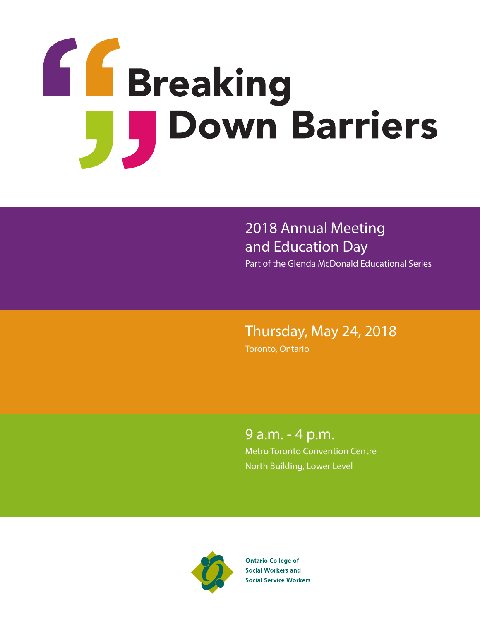

2018 Annual Meeting and Education Day

Part of the Glenda McDonald Educational Series

# Thursday, May 24, 2018

Toronto, Ontario

9 a.m. - 4 p.m. Metro Toronto Convention Centre North Building, Lower Level



**Ontario College of Social Workers and Social Service Workers**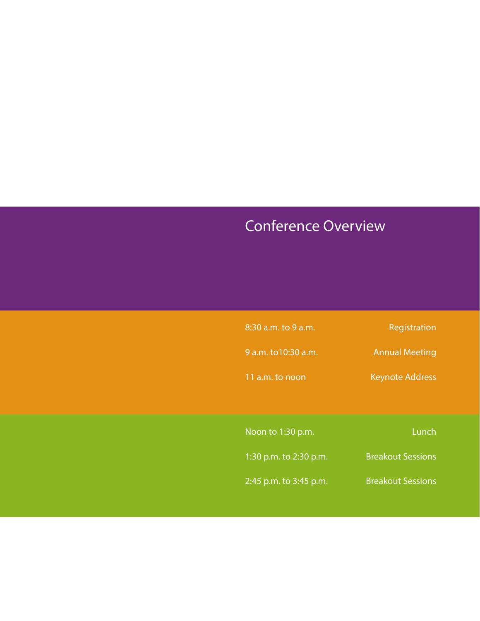# Conference Overview

| 8:30 a.m. to 9 a.m.    | Registration             |
|------------------------|--------------------------|
| 9 a.m. to 10:30 a.m.   | <b>Annual Meeting</b>    |
| 11 a.m. to noon        | <b>Keynote Address</b>   |
|                        |                          |
| Noon to 1:30 p.m.      | Lunch                    |
| 1:30 p.m. to 2:30 p.m. | <b>Breakout Sessions</b> |
| 2:45 p.m. to 3:45 p.m. | <b>Breakout Sessions</b> |
|                        |                          |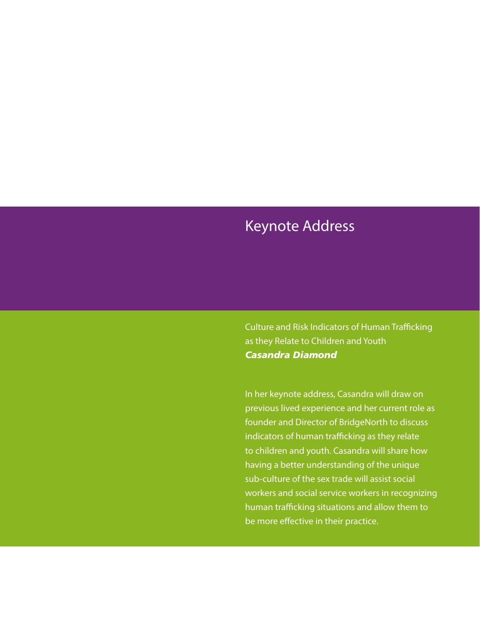# Keynote Address

Culture and Risk Indicators of Human Trafficking as they Relate to Children and Youth *Casandra Diamond*

In her keynote address, Casandra will draw on previous lived experience and her current role as founder and Director of BridgeNorth to discuss indicators of human trafficking as they relate to children and youth. Casandra will share how having a better understanding of the unique sub-culture of the sex trade will assist social workers and social service workers in recognizing human trafficking situations and allow them to be more effective in their practice.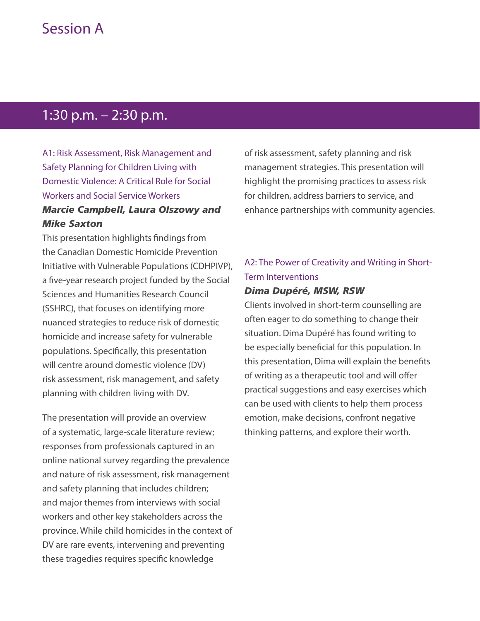## Session A

## 1:30 p.m. – 2:30 p.m.

A1: Risk Assessment, Risk Management and Safety Planning for Children Living with Domestic Violence: A Critical Role for Social Workers and Social Service Workers *Marcie Campbell, Laura Olszowy and Mike Saxton*

This presentation highlights findings from the Canadian Domestic Homicide Prevention Initiative with Vulnerable Populations (CDHPIVP), a five-year research project funded by the Social Sciences and Humanities Research Council (SSHRC), that focuses on identifying more nuanced strategies to reduce risk of domestic homicide and increase safety for vulnerable populations. Specifically, this presentation will centre around domestic violence (DV) risk assessment, risk management, and safety planning with children living with DV.

The presentation will provide an overview of a systematic, large-scale literature review; responses from professionals captured in an online national survey regarding the prevalence and nature of risk assessment, risk management and safety planning that includes children; and major themes from interviews with social workers and other key stakeholders across the province. While child homicides in the context of DV are rare events, intervening and preventing these tragedies requires specific knowledge

of risk assessment, safety planning and risk management strategies. This presentation will highlight the promising practices to assess risk for children, address barriers to service, and enhance partnerships with community agencies.

### A2: The Power of Creativity and Writing in Short-Term Interventions

#### *Dima Dupéré, MSW, RSW*

Clients involved in short-term counselling are often eager to do something to change their situation. Dima Dupéré has found writing to be especially beneficial for this population. In this presentation, Dima will explain the benefits of writing as a therapeutic tool and will offer practical suggestions and easy exercises which can be used with clients to help them process emotion, make decisions, confront negative thinking patterns, and explore their worth.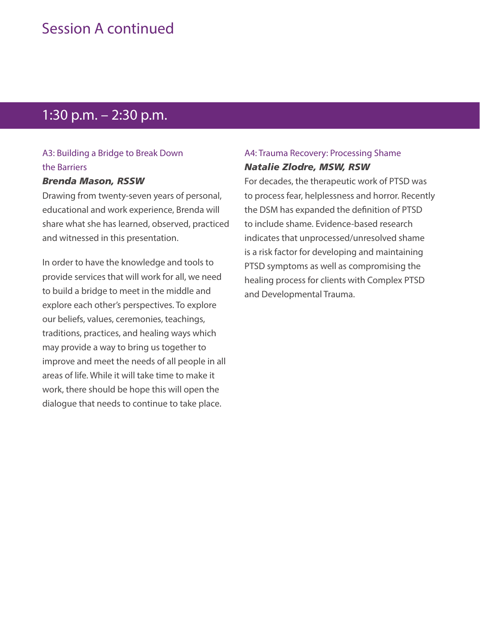## Session A continued

# 1:30 p.m. – 2:30 p.m.

### A3: Building a Bridge to Break Down the Barriers

#### *Brenda Mason, RSSW*

Drawing from twenty-seven years of personal, educational and work experience, Brenda will share what she has learned, observed, practiced and witnessed in this presentation.

In order to have the knowledge and tools to provide services that will work for all, we need to build a bridge to meet in the middle and explore each other's perspectives. To explore our beliefs, values, ceremonies, teachings, traditions, practices, and healing ways which may provide a way to bring us together to improve and meet the needs of all people in all areas of life. While it will take time to make it work, there should be hope this will open the dialogue that needs to continue to take place.

### A4: Trauma Recovery: Processing Shame *Natalie Zlodre, MSW, RSW*

For decades, the therapeutic work of PTSD was to process fear, helplessness and horror. Recently the DSM has expanded the definition of PTSD to include shame. Evidence-based research indicates that unprocessed/unresolved shame is a risk factor for developing and maintaining PTSD symptoms as well as compromising the healing process for clients with Complex PTSD and Developmental Trauma.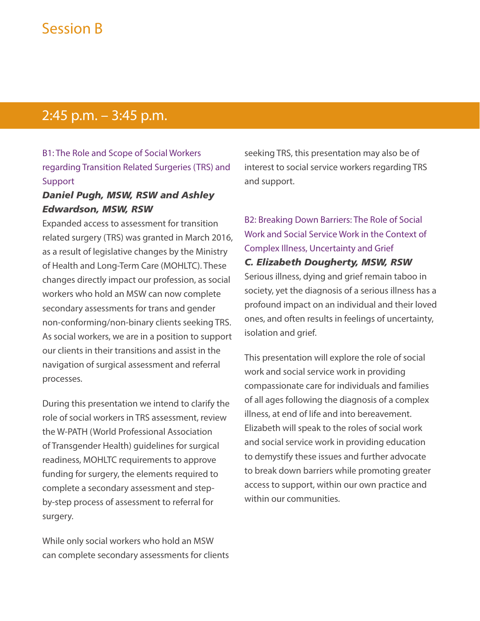# Session B

### 2:45 p.m. – 3:45 p.m.

### B1: The Role and Scope of Social Workers regarding Transition Related Surgeries (TRS) and Support

### *Daniel Pugh, MSW, RSW and Ashley Edwardson, MSW, RSW*

Expanded access to assessment for transition related surgery (TRS) was granted in March 2016, as a result of legislative changes by the Ministry of Health and Long-Term Care (MOHLTC). These changes directly impact our profession, as social workers who hold an MSW can now complete secondary assessments for trans and gender non-conforming/non-binary clients seeking TRS. As social workers, we are in a position to support our clients in their transitions and assist in the navigation of surgical assessment and referral processes.

During this presentation we intend to clarify the role of social workers in TRS assessment, review the W-PATH (World Professional Association of Transgender Health) guidelines for surgical readiness, MOHLTC requirements to approve funding for surgery, the elements required to complete a secondary assessment and stepby-step process of assessment to referral for surgery.

While only social workers who hold an MSW can complete secondary assessments for clients seeking TRS, this presentation may also be of interest to social service workers regarding TRS and support.

B2: Breaking Down Barriers: The Role of Social Work and Social Service Work in the Context of Complex Illness, Uncertainty and Grief *C. Elizabeth Dougherty, MSW, RSW* Serious illness, dying and grief remain taboo in society, yet the diagnosis of a serious illness has a profound impact on an individual and their loved ones, and often results in feelings of uncertainty, isolation and grief.

This presentation will explore the role of social work and social service work in providing compassionate care for individuals and families of all ages following the diagnosis of a complex illness, at end of life and into bereavement. Elizabeth will speak to the roles of social work and social service work in providing education to demystify these issues and further advocate to break down barriers while promoting greater access to support, within our own practice and within our communities.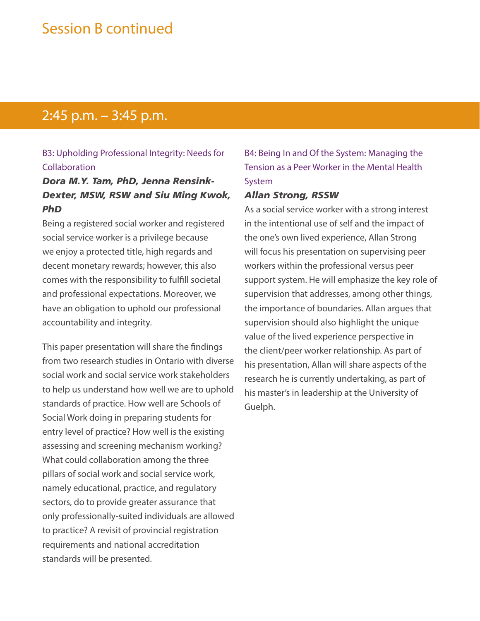## Session B continued

### 2:45 p.m. – 3:45 p.m.

### B3: Upholding Professional Integrity: Needs for Collaboration

### *Dora M.Y. Tam, PhD, Jenna Rensink-Dexter, MSW, RSW and Siu Ming Kwok, PhD*

Being a registered social worker and registered social service worker is a privilege because we enjoy a protected title, high regards and decent monetary rewards; however, this also comes with the responsibility to fulfill societal and professional expectations. Moreover, we have an obligation to uphold our professional accountability and integrity.

This paper presentation will share the findings from two research studies in Ontario with diverse social work and social service work stakeholders to help us understand how well we are to uphold standards of practice. How well are Schools of Social Work doing in preparing students for entry level of practice? How well is the existing assessing and screening mechanism working? What could collaboration among the three pillars of social work and social service work, namely educational, practice, and regulatory sectors, do to provide greater assurance that only professionally-suited individuals are allowed to practice? A revisit of provincial registration requirements and national accreditation standards will be presented.

### B4: Being In and Of the System: Managing the Tension as a Peer Worker in the Mental Health System

#### *Allan Strong, RSSW*

As a social service worker with a strong interest in the intentional use of self and the impact of the one's own lived experience, Allan Strong will focus his presentation on supervising peer workers within the professional versus peer support system. He will emphasize the key role of supervision that addresses, among other things, the importance of boundaries. Allan argues that supervision should also highlight the unique value of the lived experience perspective in the client/peer worker relationship. As part of his presentation, Allan will share aspects of the research he is currently undertaking, as part of his master's in leadership at the University of Guelph.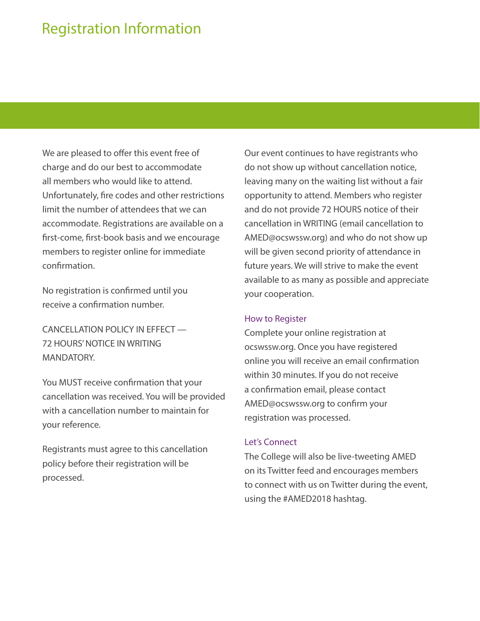# Registration Information

We are pleased to offer this event free of charge and do our best to accommodate all members who would like to attend. Unfortunately, fire codes and other restrictions limit the number of attendees that we can accommodate. Registrations are available on a first-come, first-book basis and we encourage members to register online for immediate confirmation.

No registration is confirmed until you receive a confirmation number.

CANCELLATION POLICY IN EFFECT — 72 HOURS' NOTICE IN WRITING MANDATORY.

You MUST receive confirmation that your cancellation was received. You will be provided with a cancellation number to maintain for your reference.

Registrants must agree to this cancellation policy before their registration will be processed.

Our event continues to have registrants who do not show up without cancellation notice, leaving many on the waiting list without a fair opportunity to attend. Members who register and do not provide 72 HOURS notice of their cancellation in WRITING (email cancellation to AMED@ocswssw.org) and who do not show up will be given second priority of attendance in future years. We will strive to make the event available to as many as possible and appreciate your cooperation.

#### How to Register

Complete your online registration at ocswssw.org. Once you have registered online you will receive an email confirmation within 30 minutes. If you do not receive a confirmation email, please contact AMED@ocswssw.org to confirm your registration was processed.

#### Let's Connect

The College will also be live-tweeting AMED on its Twitter feed and encourages members to connect with us on Twitter during the event, using the #AMED2018 hashtag.